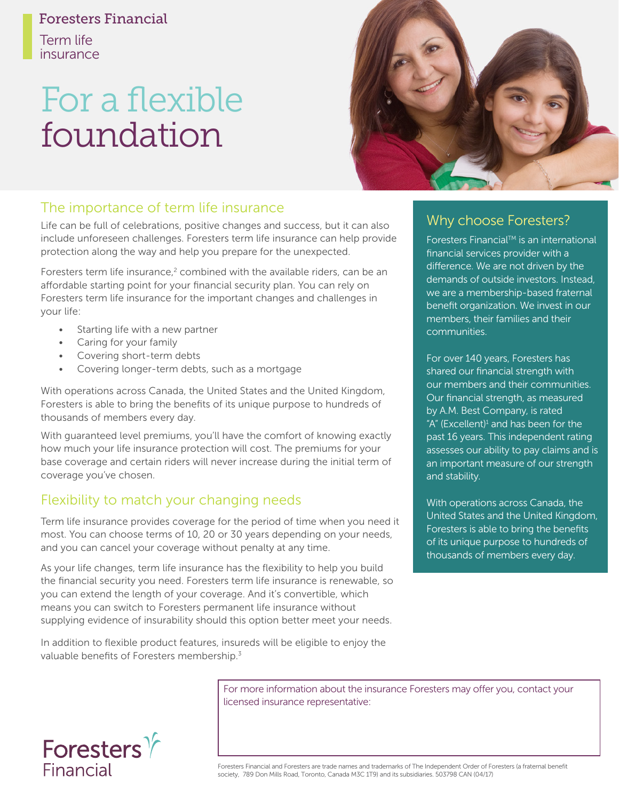#### Foresters Financial

Term life insurance

# For a flexible foundation



### The importance of term life insurance

Life can be full of celebrations, positive changes and success, but it can also include unforeseen challenges. Foresters term life insurance can help provide protection along the way and help you prepare for the unexpected.

Foresters term life insurance,<sup>2</sup> combined with the available riders, can be an affordable starting point for your financial security plan. You can rely on Foresters term life insurance for the important changes and challenges in your life:

- Starting life with a new partner
- Caring for your family
- Covering short-term debts
- Covering longer-term debts, such as a mortgage

With operations across Canada, the United States and the United Kingdom, Foresters is able to bring the benefits of its unique purpose to hundreds of thousands of members every day.

With guaranteed level premiums, you'll have the comfort of knowing exactly how much your life insurance protection will cost. The premiums for your base coverage and certain riders will never increase during the initial term of coverage you've chosen.

# Flexibility to match your changing needs

Term life insurance provides coverage for the period of time when you need it most. You can choose terms of 10, 20 or 30 years depending on your needs, and you can cancel your coverage without penalty at any time.

As your life changes, term life insurance has the flexibility to help you build the financial security you need. Foresters term life insurance is renewable, so you can extend the length of your coverage. And it's convertible, which means you can switch to Foresters permanent life insurance without supplying evidence of insurability should this option better meet your needs.

In addition to flexible product features, insureds will be eligible to enjoy the valuable benefits of Foresters membership.<sup>3</sup>

# Why choose Foresters?

Foresters Financial™ is an international financial services provider with a difference. We are not driven by the demands of outside investors. Instead, we are a membership-based fraternal benefit organization. We invest in our members, their families and their communities.

For over 140 years, Foresters has shared our financial strength with our members and their communities. Our financial strength, as measured by A.M. Best Company, is rated "A" (Excellent) $1$  and has been for the past 16 years. This independent rating assesses our ability to pay claims and is an important measure of our strength and stability.

With operations across Canada, the United States and the United Kingdom, Foresters is able to bring the benefits of its unique purpose to hundreds of thousands of members every day.

For more information about the insurance Foresters may offer you, contact your licensed insurance representative:



Foresters Financial and Foresters are trade names and trademarks of The Independent Order of Foresters (a fraternal benefit society, 789 Don Mills Road, Toronto, Canada M3C 1T9) and its subsidiaries. 503798 CAN (04/17)